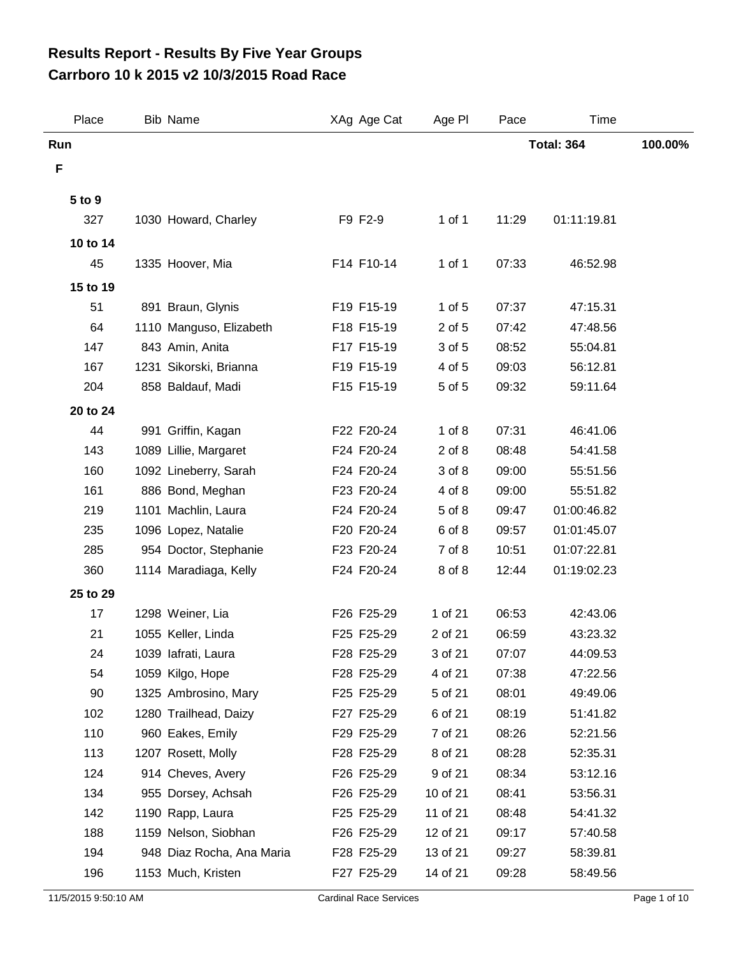## **Carrboro 10 k 2015 v2 10/3/2015 Road Race Results Report - Results By Five Year Groups**

| Place    | <b>Bib Name</b>           | XAg Age Cat | Age PI     | Pace  | Time              |         |
|----------|---------------------------|-------------|------------|-------|-------------------|---------|
| Run      |                           |             |            |       | <b>Total: 364</b> | 100.00% |
| F        |                           |             |            |       |                   |         |
| 5 to 9   |                           |             |            |       |                   |         |
| 327      | 1030 Howard, Charley      | F9 F2-9     | $1$ of $1$ | 11:29 | 01:11:19.81       |         |
| 10 to 14 |                           |             |            |       |                   |         |
| 45       | 1335 Hoover, Mia          | F14 F10-14  | 1 of 1     | 07:33 | 46:52.98          |         |
| 15 to 19 |                           |             |            |       |                   |         |
| 51       | 891 Braun, Glynis         | F19 F15-19  | 1 of 5     | 07:37 | 47:15.31          |         |
| 64       | 1110 Manguso, Elizabeth   | F18 F15-19  | 2 of 5     | 07:42 | 47:48.56          |         |
| 147      | 843 Amin, Anita           | F17 F15-19  | 3 of 5     | 08:52 | 55:04.81          |         |
| 167      | 1231 Sikorski, Brianna    | F19 F15-19  | 4 of 5     | 09:03 | 56:12.81          |         |
| 204      | 858 Baldauf, Madi         | F15 F15-19  | 5 of 5     | 09:32 | 59:11.64          |         |
| 20 to 24 |                           |             |            |       |                   |         |
| 44       | 991 Griffin, Kagan        | F22 F20-24  | $1$ of $8$ | 07:31 | 46:41.06          |         |
| 143      | 1089 Lillie, Margaret     | F24 F20-24  | $2$ of $8$ | 08:48 | 54:41.58          |         |
| 160      | 1092 Lineberry, Sarah     | F24 F20-24  | 3 of 8     | 09:00 | 55:51.56          |         |
| 161      | 886 Bond, Meghan          | F23 F20-24  | 4 of 8     | 09:00 | 55:51.82          |         |
| 219      | 1101 Machlin, Laura       | F24 F20-24  | 5 of 8     | 09:47 | 01:00:46.82       |         |
| 235      | 1096 Lopez, Natalie       | F20 F20-24  | 6 of 8     | 09:57 | 01:01:45.07       |         |
| 285      | 954 Doctor, Stephanie     | F23 F20-24  | 7 of 8     | 10:51 | 01:07:22.81       |         |
| 360      | 1114 Maradiaga, Kelly     | F24 F20-24  | 8 of 8     | 12:44 | 01:19:02.23       |         |
| 25 to 29 |                           |             |            |       |                   |         |
| 17       | 1298 Weiner, Lia          | F26 F25-29  | 1 of 21    | 06:53 | 42:43.06          |         |
| 21       | 1055 Keller, Linda        | F25 F25-29  | 2 of 21    | 06:59 | 43:23.32          |         |
| 24       | 1039 lafrati, Laura       | F28 F25-29  | 3 of 21    | 07:07 | 44:09.53          |         |
| 54       | 1059 Kilgo, Hope          | F28 F25-29  | 4 of 21    | 07:38 | 47:22.56          |         |
| 90       | 1325 Ambrosino, Mary      | F25 F25-29  | 5 of 21    | 08:01 | 49:49.06          |         |
| 102      | 1280 Trailhead, Daizy     | F27 F25-29  | 6 of 21    | 08:19 | 51:41.82          |         |
| 110      | 960 Eakes, Emily          | F29 F25-29  | 7 of 21    | 08:26 | 52:21.56          |         |
| 113      | 1207 Rosett, Molly        | F28 F25-29  | 8 of 21    | 08:28 | 52:35.31          |         |
| 124      | 914 Cheves, Avery         | F26 F25-29  | 9 of 21    | 08:34 | 53:12.16          |         |
| 134      | 955 Dorsey, Achsah        | F26 F25-29  | 10 of 21   | 08:41 | 53:56.31          |         |
| 142      | 1190 Rapp, Laura          | F25 F25-29  | 11 of 21   | 08:48 | 54:41.32          |         |
| 188      | 1159 Nelson, Siobhan      | F26 F25-29  | 12 of 21   | 09:17 | 57:40.58          |         |
| 194      | 948 Diaz Rocha, Ana Maria | F28 F25-29  | 13 of 21   | 09:27 | 58:39.81          |         |
| 196      | 1153 Much, Kristen        | F27 F25-29  | 14 of 21   | 09:28 | 58:49.56          |         |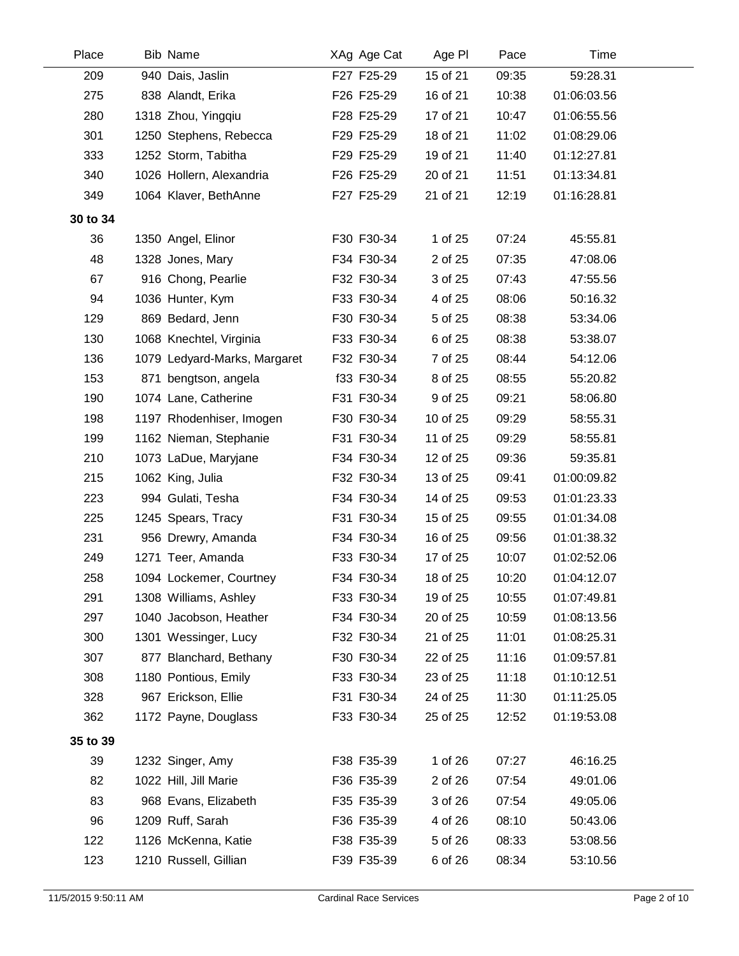| Place    | <b>Bib Name</b>              | XAg Age Cat | Age PI   | Pace  | <b>Time</b> |  |
|----------|------------------------------|-------------|----------|-------|-------------|--|
| 209      | 940 Dais, Jaslin             | F27 F25-29  | 15 of 21 | 09:35 | 59:28.31    |  |
| 275      | 838 Alandt, Erika            | F26 F25-29  | 16 of 21 | 10:38 | 01:06:03.56 |  |
| 280      | 1318 Zhou, Yingqiu           | F28 F25-29  | 17 of 21 | 10:47 | 01:06:55.56 |  |
| 301      | 1250 Stephens, Rebecca       | F29 F25-29  | 18 of 21 | 11:02 | 01:08:29.06 |  |
| 333      | 1252 Storm, Tabitha          | F29 F25-29  | 19 of 21 | 11:40 | 01:12:27.81 |  |
| 340      | 1026 Hollern, Alexandria     | F26 F25-29  | 20 of 21 | 11:51 | 01:13:34.81 |  |
| 349      | 1064 Klaver, BethAnne        | F27 F25-29  | 21 of 21 | 12:19 | 01:16:28.81 |  |
| 30 to 34 |                              |             |          |       |             |  |
| 36       | 1350 Angel, Elinor           | F30 F30-34  | 1 of 25  | 07:24 | 45:55.81    |  |
| 48       | 1328 Jones, Mary             | F34 F30-34  | 2 of 25  | 07:35 | 47:08.06    |  |
| 67       | 916 Chong, Pearlie           | F32 F30-34  | 3 of 25  | 07:43 | 47:55.56    |  |
| 94       | 1036 Hunter, Kym             | F33 F30-34  | 4 of 25  | 08:06 | 50:16.32    |  |
| 129      | 869 Bedard, Jenn             | F30 F30-34  | 5 of 25  | 08:38 | 53:34.06    |  |
| 130      | 1068 Knechtel, Virginia      | F33 F30-34  | 6 of 25  | 08:38 | 53:38.07    |  |
| 136      | 1079 Ledyard-Marks, Margaret | F32 F30-34  | 7 of 25  | 08:44 | 54:12.06    |  |
| 153      | 871 bengtson, angela         | f33 F30-34  | 8 of 25  | 08:55 | 55:20.82    |  |
| 190      | 1074 Lane, Catherine         | F31 F30-34  | 9 of 25  | 09:21 | 58:06.80    |  |
| 198      | 1197 Rhodenhiser, Imogen     | F30 F30-34  | 10 of 25 | 09:29 | 58:55.31    |  |
| 199      | 1162 Nieman, Stephanie       | F31 F30-34  | 11 of 25 | 09:29 | 58:55.81    |  |
| 210      | 1073 LaDue, Maryjane         | F34 F30-34  | 12 of 25 | 09:36 | 59:35.81    |  |
| 215      | 1062 King, Julia             | F32 F30-34  | 13 of 25 | 09:41 | 01:00:09.82 |  |
| 223      | 994 Gulati, Tesha            | F34 F30-34  | 14 of 25 | 09:53 | 01:01:23.33 |  |
| 225      | 1245 Spears, Tracy           | F31 F30-34  | 15 of 25 | 09:55 | 01:01:34.08 |  |
| 231      | 956 Drewry, Amanda           | F34 F30-34  | 16 of 25 | 09:56 | 01:01:38.32 |  |
| 249      | 1271 Teer, Amanda            | F33 F30-34  | 17 of 25 | 10:07 | 01:02:52.06 |  |
| 258      | 1094 Lockemer, Courtney      | F34 F30-34  | 18 of 25 | 10:20 | 01:04:12.07 |  |
| 291      | 1308 Williams, Ashley        | F33 F30-34  | 19 of 25 | 10:55 | 01:07:49.81 |  |
| 297      | 1040 Jacobson, Heather       | F34 F30-34  | 20 of 25 | 10:59 | 01:08:13.56 |  |
| 300      | 1301 Wessinger, Lucy         | F32 F30-34  | 21 of 25 | 11:01 | 01:08:25.31 |  |
| 307      | 877 Blanchard, Bethany       | F30 F30-34  | 22 of 25 | 11:16 | 01:09:57.81 |  |
| 308      | 1180 Pontious, Emily         | F33 F30-34  | 23 of 25 | 11:18 | 01:10:12.51 |  |
| 328      | 967 Erickson, Ellie          | F31 F30-34  | 24 of 25 | 11:30 | 01:11:25.05 |  |
| 362      | 1172 Payne, Douglass         | F33 F30-34  | 25 of 25 | 12:52 | 01:19:53.08 |  |
| 35 to 39 |                              |             |          |       |             |  |
| 39       | 1232 Singer, Amy             | F38 F35-39  | 1 of 26  | 07:27 | 46:16.25    |  |
| 82       | 1022 Hill, Jill Marie        | F36 F35-39  | 2 of 26  | 07:54 | 49:01.06    |  |
| 83       | 968 Evans, Elizabeth         | F35 F35-39  | 3 of 26  | 07:54 | 49:05.06    |  |
| 96       | 1209 Ruff, Sarah             | F36 F35-39  | 4 of 26  | 08:10 | 50:43.06    |  |
| 122      | 1126 McKenna, Katie          | F38 F35-39  | 5 of 26  | 08:33 | 53:08.56    |  |
| 123      | 1210 Russell, Gillian        | F39 F35-39  | 6 of 26  | 08:34 | 53:10.56    |  |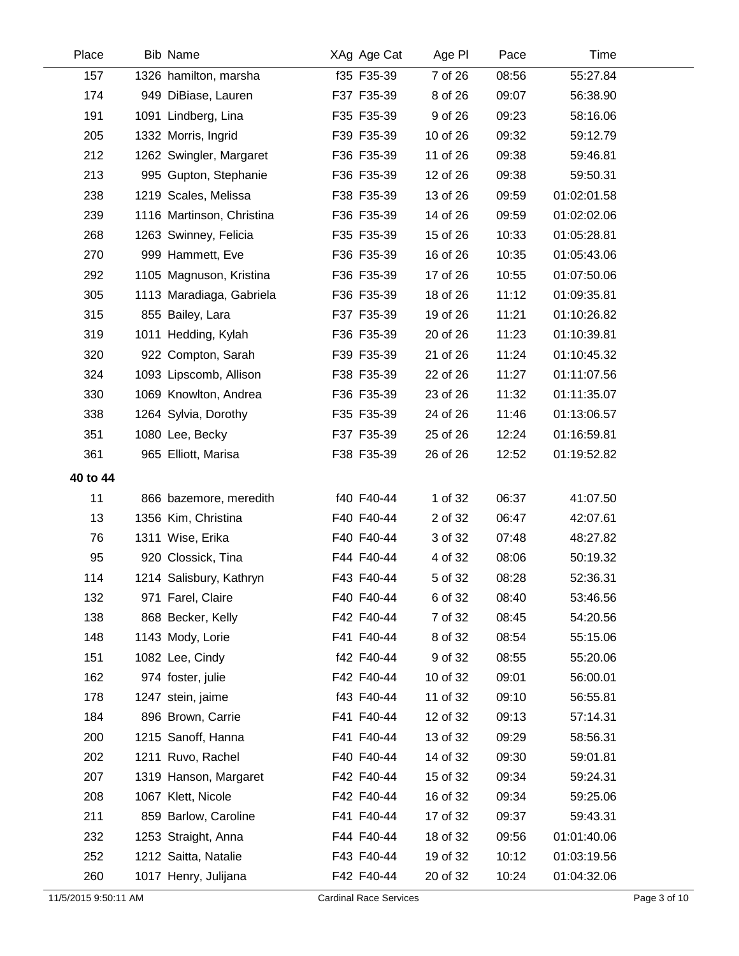| Place    | <b>Bib Name</b>           | XAg Age Cat | Age PI   | Pace  | Time        |  |
|----------|---------------------------|-------------|----------|-------|-------------|--|
| 157      | 1326 hamilton, marsha     | f35 F35-39  | 7 of 26  | 08:56 | 55:27.84    |  |
| 174      | 949 DiBiase, Lauren       | F37 F35-39  | 8 of 26  | 09:07 | 56:38.90    |  |
| 191      | 1091 Lindberg, Lina       | F35 F35-39  | 9 of 26  | 09:23 | 58:16.06    |  |
| 205      | 1332 Morris, Ingrid       | F39 F35-39  | 10 of 26 | 09:32 | 59:12.79    |  |
| 212      | 1262 Swingler, Margaret   | F36 F35-39  | 11 of 26 | 09:38 | 59:46.81    |  |
| 213      | 995 Gupton, Stephanie     | F36 F35-39  | 12 of 26 | 09:38 | 59:50.31    |  |
| 238      | 1219 Scales, Melissa      | F38 F35-39  | 13 of 26 | 09:59 | 01:02:01.58 |  |
| 239      | 1116 Martinson, Christina | F36 F35-39  | 14 of 26 | 09:59 | 01:02:02.06 |  |
| 268      | 1263 Swinney, Felicia     | F35 F35-39  | 15 of 26 | 10:33 | 01:05:28.81 |  |
| 270      | 999 Hammett, Eve          | F36 F35-39  | 16 of 26 | 10:35 | 01:05:43.06 |  |
| 292      | 1105 Magnuson, Kristina   | F36 F35-39  | 17 of 26 | 10:55 | 01:07:50.06 |  |
| 305      | 1113 Maradiaga, Gabriela  | F36 F35-39  | 18 of 26 | 11:12 | 01:09:35.81 |  |
| 315      | 855 Bailey, Lara          | F37 F35-39  | 19 of 26 | 11:21 | 01:10:26.82 |  |
| 319      | 1011 Hedding, Kylah       | F36 F35-39  | 20 of 26 | 11:23 | 01:10:39.81 |  |
| 320      | 922 Compton, Sarah        | F39 F35-39  | 21 of 26 | 11:24 | 01:10:45.32 |  |
| 324      | 1093 Lipscomb, Allison    | F38 F35-39  | 22 of 26 | 11:27 | 01:11:07.56 |  |
| 330      | 1069 Knowlton, Andrea     | F36 F35-39  | 23 of 26 | 11:32 | 01:11:35.07 |  |
| 338      | 1264 Sylvia, Dorothy      | F35 F35-39  | 24 of 26 | 11:46 | 01:13:06.57 |  |
| 351      | 1080 Lee, Becky           | F37 F35-39  | 25 of 26 | 12:24 | 01:16:59.81 |  |
| 361      | 965 Elliott, Marisa       | F38 F35-39  | 26 of 26 | 12:52 | 01:19:52.82 |  |
| 40 to 44 |                           |             |          |       |             |  |
| 11       | 866 bazemore, meredith    | f40 F40-44  | 1 of 32  | 06:37 | 41:07.50    |  |
| 13       | 1356 Kim, Christina       | F40 F40-44  | 2 of 32  | 06:47 | 42:07.61    |  |
| 76       | 1311 Wise, Erika          | F40 F40-44  | 3 of 32  | 07:48 | 48:27.82    |  |
| 95       | 920 Clossick, Tina        | F44 F40-44  | 4 of 32  | 08:06 | 50:19.32    |  |
| 114      | 1214 Salisbury, Kathryn   | F43 F40-44  | 5 of 32  | 08:28 | 52:36.31    |  |
| 132      | 971 Farel, Claire         | F40 F40-44  | 6 of 32  | 08:40 | 53:46.56    |  |
| 138      | 868 Becker, Kelly         | F42 F40-44  | 7 of 32  | 08:45 | 54:20.56    |  |
| 148      | 1143 Mody, Lorie          | F41 F40-44  | 8 of 32  | 08:54 | 55:15.06    |  |
| 151      | 1082 Lee, Cindy           | f42 F40-44  | 9 of 32  | 08:55 | 55:20.06    |  |
| 162      | 974 foster, julie         | F42 F40-44  | 10 of 32 | 09:01 | 56:00.01    |  |
| 178      | 1247 stein, jaime         | f43 F40-44  | 11 of 32 | 09:10 | 56:55.81    |  |
| 184      | 896 Brown, Carrie         | F41 F40-44  | 12 of 32 | 09:13 | 57:14.31    |  |
| 200      | 1215 Sanoff, Hanna        | F41 F40-44  | 13 of 32 | 09:29 | 58:56.31    |  |
| 202      | 1211 Ruvo, Rachel         | F40 F40-44  | 14 of 32 | 09:30 | 59:01.81    |  |
| 207      | 1319 Hanson, Margaret     | F42 F40-44  | 15 of 32 | 09:34 | 59:24.31    |  |
| 208      | 1067 Klett, Nicole        | F42 F40-44  | 16 of 32 | 09:34 | 59:25.06    |  |
| 211      | 859 Barlow, Caroline      | F41 F40-44  | 17 of 32 | 09:37 | 59:43.31    |  |
| 232      | 1253 Straight, Anna       | F44 F40-44  | 18 of 32 | 09:56 | 01:01:40.06 |  |
| 252      | 1212 Saitta, Natalie      | F43 F40-44  | 19 of 32 | 10:12 | 01:03:19.56 |  |
| 260      | 1017 Henry, Julijana      | F42 F40-44  | 20 of 32 | 10:24 | 01:04:32.06 |  |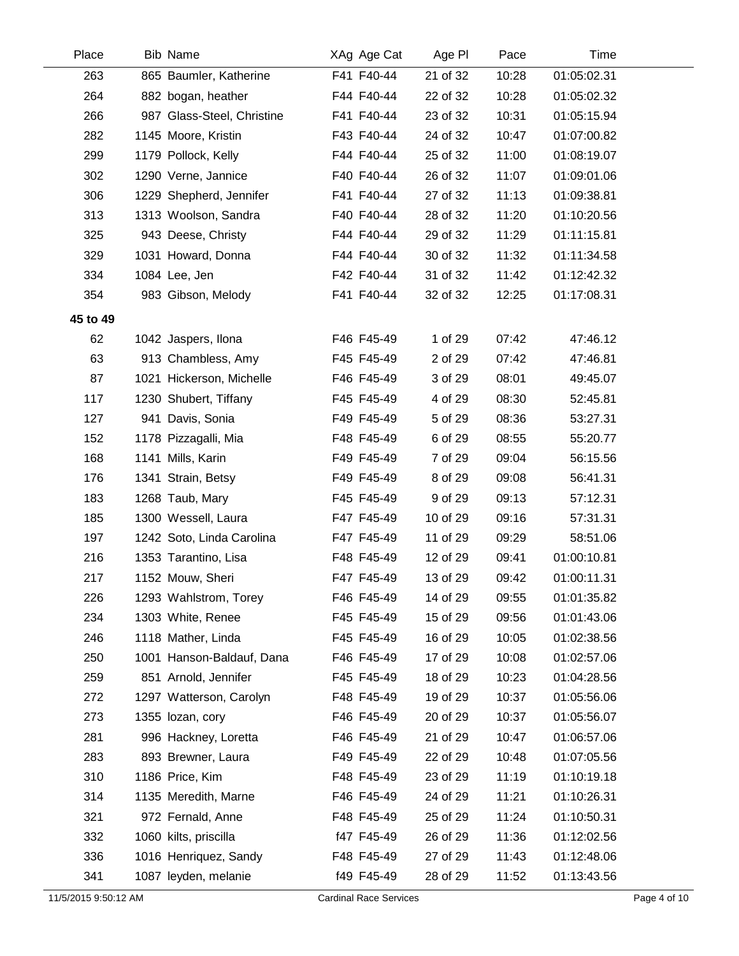| Place    | <b>Bib Name</b>            | XAg Age Cat | Age PI   | Pace  | Time        |  |
|----------|----------------------------|-------------|----------|-------|-------------|--|
| 263      | 865 Baumler, Katherine     | F41 F40-44  | 21 of 32 | 10:28 | 01:05:02.31 |  |
| 264      | 882 bogan, heather         | F44 F40-44  | 22 of 32 | 10:28 | 01:05:02.32 |  |
| 266      | 987 Glass-Steel, Christine | F41 F40-44  | 23 of 32 | 10:31 | 01:05:15.94 |  |
| 282      | 1145 Moore, Kristin        | F43 F40-44  | 24 of 32 | 10:47 | 01:07:00.82 |  |
| 299      | 1179 Pollock, Kelly        | F44 F40-44  | 25 of 32 | 11:00 | 01:08:19.07 |  |
| 302      | 1290 Verne, Jannice        | F40 F40-44  | 26 of 32 | 11:07 | 01:09:01.06 |  |
| 306      | 1229 Shepherd, Jennifer    | F41 F40-44  | 27 of 32 | 11:13 | 01:09:38.81 |  |
| 313      | 1313 Woolson, Sandra       | F40 F40-44  | 28 of 32 | 11:20 | 01:10:20.56 |  |
| 325      | 943 Deese, Christy         | F44 F40-44  | 29 of 32 | 11:29 | 01:11:15.81 |  |
| 329      | 1031 Howard, Donna         | F44 F40-44  | 30 of 32 | 11:32 | 01:11:34.58 |  |
| 334      | 1084 Lee, Jen              | F42 F40-44  | 31 of 32 | 11:42 | 01:12:42.32 |  |
| 354      | 983 Gibson, Melody         | F41 F40-44  | 32 of 32 | 12:25 | 01:17:08.31 |  |
| 45 to 49 |                            |             |          |       |             |  |
| 62       | 1042 Jaspers, Ilona        | F46 F45-49  | 1 of 29  | 07:42 | 47:46.12    |  |
| 63       | 913 Chambless, Amy         | F45 F45-49  | 2 of 29  | 07:42 | 47:46.81    |  |
| 87       | 1021 Hickerson, Michelle   | F46 F45-49  | 3 of 29  | 08:01 | 49:45.07    |  |
| 117      | 1230 Shubert, Tiffany      | F45 F45-49  | 4 of 29  | 08:30 | 52:45.81    |  |
| 127      | 941 Davis, Sonia           | F49 F45-49  | 5 of 29  | 08:36 | 53:27.31    |  |
| 152      | 1178 Pizzagalli, Mia       | F48 F45-49  | 6 of 29  | 08:55 | 55:20.77    |  |
| 168      | 1141 Mills, Karin          | F49 F45-49  | 7 of 29  | 09:04 | 56:15.56    |  |
| 176      | 1341 Strain, Betsy         | F49 F45-49  | 8 of 29  | 09:08 | 56:41.31    |  |
| 183      | 1268 Taub, Mary            | F45 F45-49  | 9 of 29  | 09:13 | 57:12.31    |  |
| 185      | 1300 Wessell, Laura        | F47 F45-49  | 10 of 29 | 09:16 | 57:31.31    |  |
| 197      | 1242 Soto, Linda Carolina  | F47 F45-49  | 11 of 29 | 09:29 | 58:51.06    |  |
| 216      | 1353 Tarantino, Lisa       | F48 F45-49  | 12 of 29 | 09:41 | 01:00:10.81 |  |
| 217      | 1152 Mouw, Sheri           | F47 F45-49  | 13 of 29 | 09:42 | 01:00:11.31 |  |
| 226      | 1293 Wahlstrom, Torey      | F46 F45-49  | 14 of 29 | 09:55 | 01:01:35.82 |  |
| 234      | 1303 White, Renee          | F45 F45-49  | 15 of 29 | 09:56 | 01:01:43.06 |  |
| 246      | 1118 Mather, Linda         | F45 F45-49  | 16 of 29 | 10:05 | 01:02:38.56 |  |
| 250      | 1001 Hanson-Baldauf, Dana  | F46 F45-49  | 17 of 29 | 10:08 | 01:02:57.06 |  |
| 259      | 851 Arnold, Jennifer       | F45 F45-49  | 18 of 29 | 10:23 | 01:04:28.56 |  |
| 272      | 1297 Watterson, Carolyn    | F48 F45-49  | 19 of 29 | 10:37 | 01:05:56.06 |  |
| 273      | 1355 lozan, cory           | F46 F45-49  | 20 of 29 | 10:37 | 01:05:56.07 |  |
| 281      | 996 Hackney, Loretta       | F46 F45-49  | 21 of 29 | 10:47 | 01:06:57.06 |  |
| 283      | 893 Brewner, Laura         | F49 F45-49  | 22 of 29 | 10:48 | 01:07:05.56 |  |
| 310      | 1186 Price, Kim            | F48 F45-49  | 23 of 29 | 11:19 | 01:10:19.18 |  |
| 314      | 1135 Meredith, Marne       | F46 F45-49  | 24 of 29 | 11:21 | 01:10:26.31 |  |
| 321      | 972 Fernald, Anne          | F48 F45-49  | 25 of 29 | 11:24 | 01:10:50.31 |  |
| 332      | 1060 kilts, priscilla      | f47 F45-49  | 26 of 29 | 11:36 | 01:12:02.56 |  |
| 336      | 1016 Henriquez, Sandy      | F48 F45-49  | 27 of 29 | 11:43 | 01:12:48.06 |  |
| 341      | 1087 leyden, melanie       | f49 F45-49  | 28 of 29 | 11:52 | 01:13:43.56 |  |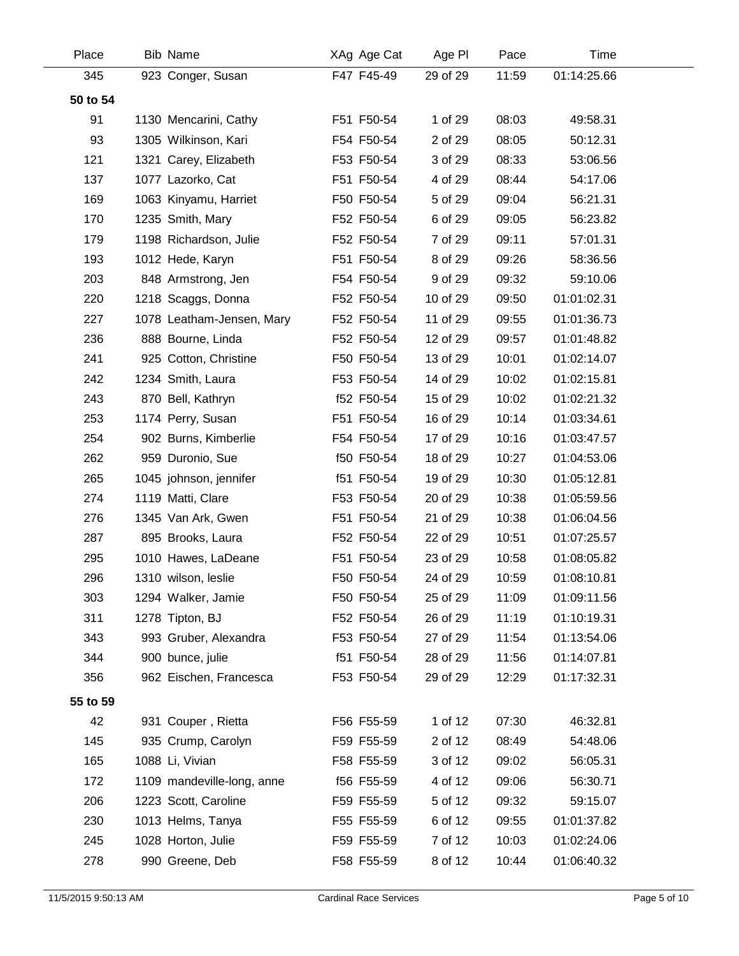| Place    | <b>Bib Name</b>            | XAg Age Cat | Age PI   | Pace  | <b>Time</b> |  |
|----------|----------------------------|-------------|----------|-------|-------------|--|
| 345      | 923 Conger, Susan          | F47 F45-49  | 29 of 29 | 11:59 | 01:14:25.66 |  |
| 50 to 54 |                            |             |          |       |             |  |
| 91       | 1130 Mencarini, Cathy      | F51 F50-54  | 1 of 29  | 08:03 | 49:58.31    |  |
| 93       | 1305 Wilkinson, Kari       | F54 F50-54  | 2 of 29  | 08:05 | 50:12.31    |  |
| 121      | 1321 Carey, Elizabeth      | F53 F50-54  | 3 of 29  | 08:33 | 53:06.56    |  |
| 137      | 1077 Lazorko, Cat          | F51 F50-54  | 4 of 29  | 08:44 | 54:17.06    |  |
| 169      | 1063 Kinyamu, Harriet      | F50 F50-54  | 5 of 29  | 09:04 | 56:21.31    |  |
| 170      | 1235 Smith, Mary           | F52 F50-54  | 6 of 29  | 09:05 | 56:23.82    |  |
| 179      | 1198 Richardson, Julie     | F52 F50-54  | 7 of 29  | 09:11 | 57:01.31    |  |
| 193      | 1012 Hede, Karyn           | F51 F50-54  | 8 of 29  | 09:26 | 58:36.56    |  |
| 203      | 848 Armstrong, Jen         | F54 F50-54  | 9 of 29  | 09:32 | 59:10.06    |  |
| 220      | 1218 Scaggs, Donna         | F52 F50-54  | 10 of 29 | 09:50 | 01:01:02.31 |  |
| 227      | 1078 Leatham-Jensen, Mary  | F52 F50-54  | 11 of 29 | 09:55 | 01:01:36.73 |  |
| 236      | 888 Bourne, Linda          | F52 F50-54  | 12 of 29 | 09:57 | 01:01:48.82 |  |
| 241      | 925 Cotton, Christine      | F50 F50-54  | 13 of 29 | 10:01 | 01:02:14.07 |  |
| 242      | 1234 Smith, Laura          | F53 F50-54  | 14 of 29 | 10:02 | 01:02:15.81 |  |
| 243      | 870 Bell, Kathryn          | f52 F50-54  | 15 of 29 | 10:02 | 01:02:21.32 |  |
| 253      | 1174 Perry, Susan          | F51 F50-54  | 16 of 29 | 10:14 | 01:03:34.61 |  |
| 254      | 902 Burns, Kimberlie       | F54 F50-54  | 17 of 29 | 10:16 | 01:03:47.57 |  |
| 262      | 959 Duronio, Sue           | f50 F50-54  | 18 of 29 | 10:27 | 01:04:53.06 |  |
| 265      | 1045 johnson, jennifer     | f51 F50-54  | 19 of 29 | 10:30 | 01:05:12.81 |  |
| 274      | 1119 Matti, Clare          | F53 F50-54  | 20 of 29 | 10:38 | 01:05:59.56 |  |
| 276      | 1345 Van Ark, Gwen         | F51 F50-54  | 21 of 29 | 10:38 | 01:06:04.56 |  |
| 287      | 895 Brooks, Laura          | F52 F50-54  | 22 of 29 | 10:51 | 01:07:25.57 |  |
| 295      | 1010 Hawes, LaDeane        | F51 F50-54  | 23 of 29 | 10:58 | 01:08:05.82 |  |
| 296      | 1310 wilson, leslie        | F50 F50-54  | 24 of 29 | 10:59 | 01:08:10.81 |  |
| 303      | 1294 Walker, Jamie         | F50 F50-54  | 25 of 29 | 11:09 | 01:09:11.56 |  |
| 311      | 1278 Tipton, BJ            | F52 F50-54  | 26 of 29 | 11:19 | 01:10:19.31 |  |
| 343      | 993 Gruber, Alexandra      | F53 F50-54  | 27 of 29 | 11:54 | 01:13:54.06 |  |
| 344      | 900 bunce, julie           | f51 F50-54  | 28 of 29 | 11:56 | 01:14:07.81 |  |
| 356      | 962 Eischen, Francesca     | F53 F50-54  | 29 of 29 | 12:29 | 01:17:32.31 |  |
| 55 to 59 |                            |             |          |       |             |  |
| 42       | 931 Couper, Rietta         | F56 F55-59  | 1 of 12  | 07:30 | 46:32.81    |  |
| 145      | 935 Crump, Carolyn         | F59 F55-59  | 2 of 12  | 08:49 | 54:48.06    |  |
| 165      | 1088 Li, Vivian            | F58 F55-59  | 3 of 12  | 09:02 | 56:05.31    |  |
| 172      | 1109 mandeville-long, anne | f56 F55-59  | 4 of 12  | 09:06 | 56:30.71    |  |
| 206      | 1223 Scott, Caroline       | F59 F55-59  | 5 of 12  | 09:32 | 59:15.07    |  |
| 230      | 1013 Helms, Tanya          | F55 F55-59  | 6 of 12  | 09:55 | 01:01:37.82 |  |
| 245      | 1028 Horton, Julie         | F59 F55-59  | 7 of 12  | 10:03 | 01:02:24.06 |  |
| 278      | 990 Greene, Deb            | F58 F55-59  | 8 of 12  | 10:44 | 01:06:40.32 |  |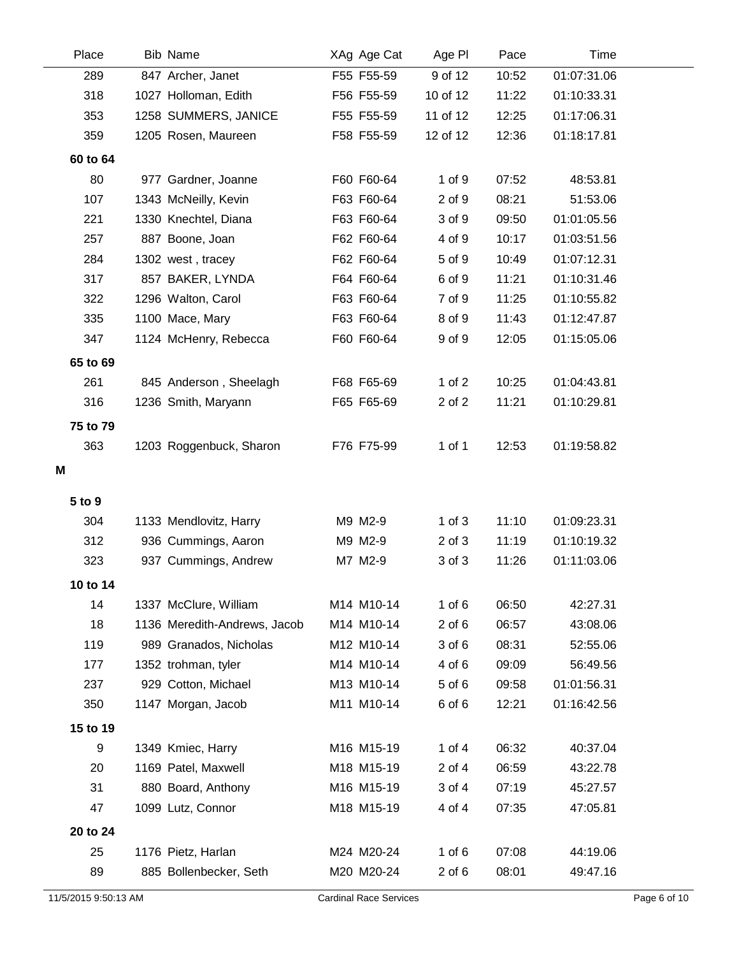| Place    | <b>Bib Name</b>              | XAg Age Cat | Age PI     | Pace  | <b>Time</b> |  |
|----------|------------------------------|-------------|------------|-------|-------------|--|
| 289      | 847 Archer, Janet            | F55 F55-59  | 9 of 12    | 10:52 | 01:07:31.06 |  |
| 318      | 1027 Holloman, Edith         | F56 F55-59  | 10 of 12   | 11:22 | 01:10:33.31 |  |
| 353      | 1258 SUMMERS, JANICE         | F55 F55-59  | 11 of 12   | 12:25 | 01:17:06.31 |  |
| 359      | 1205 Rosen, Maureen          | F58 F55-59  | 12 of 12   | 12:36 | 01:18:17.81 |  |
| 60 to 64 |                              |             |            |       |             |  |
| 80       | 977 Gardner, Joanne          | F60 F60-64  | 1 of 9     | 07:52 | 48:53.81    |  |
| 107      | 1343 McNeilly, Kevin         | F63 F60-64  | 2 of 9     | 08:21 | 51:53.06    |  |
| 221      | 1330 Knechtel, Diana         | F63 F60-64  | 3 of 9     | 09:50 | 01:01:05.56 |  |
| 257      | 887 Boone, Joan              | F62 F60-64  | 4 of 9     | 10:17 | 01:03:51.56 |  |
| 284      | 1302 west, tracey            | F62 F60-64  | 5 of 9     | 10:49 | 01:07:12.31 |  |
| 317      | 857 BAKER, LYNDA             | F64 F60-64  | 6 of 9     | 11:21 | 01:10:31.46 |  |
| 322      | 1296 Walton, Carol           | F63 F60-64  | 7 of 9     | 11:25 | 01:10:55.82 |  |
| 335      | 1100 Mace, Mary              | F63 F60-64  | 8 of 9     | 11:43 | 01:12:47.87 |  |
| 347      | 1124 McHenry, Rebecca        | F60 F60-64  | 9 of 9     | 12:05 | 01:15:05.06 |  |
| 65 to 69 |                              |             |            |       |             |  |
| 261      | 845 Anderson, Sheelagh       | F68 F65-69  | 1 of $2$   | 10:25 | 01:04:43.81 |  |
| 316      | 1236 Smith, Maryann          | F65 F65-69  | 2 of 2     | 11:21 | 01:10:29.81 |  |
| 75 to 79 |                              |             |            |       |             |  |
| 363      | 1203 Roggenbuck, Sharon      | F76 F75-99  | 1 of 1     | 12:53 | 01:19:58.82 |  |
| M        |                              |             |            |       |             |  |
|          |                              |             |            |       |             |  |
| 5 to 9   |                              |             |            |       |             |  |
| 304      | 1133 Mendlovitz, Harry       | M9 M2-9     | $1$ of $3$ | 11:10 | 01:09:23.31 |  |
| 312      | 936 Cummings, Aaron          | M9 M2-9     | $2$ of $3$ | 11:19 | 01:10:19.32 |  |
| 323      | 937 Cummings, Andrew         | M7 M2-9     | 3 of 3     | 11:26 | 01:11:03.06 |  |
| 10 to 14 |                              |             |            |       |             |  |
| 14       | 1337 McClure, William        | M14 M10-14  | $1$ of $6$ | 06:50 | 42:27.31    |  |
| 18       | 1136 Meredith-Andrews, Jacob | M14 M10-14  | $2$ of $6$ | 06:57 | 43:08.06    |  |
| 119      | 989 Granados, Nicholas       | M12 M10-14  | 3 of 6     | 08:31 | 52:55.06    |  |
| 177      | 1352 trohman, tyler          | M14 M10-14  | 4 of 6     | 09:09 | 56:49.56    |  |
| 237      | 929 Cotton, Michael          | M13 M10-14  | 5 of 6     | 09:58 | 01:01:56.31 |  |
| 350      | 1147 Morgan, Jacob           | M11 M10-14  | 6 of 6     | 12:21 | 01:16:42.56 |  |
| 15 to 19 |                              |             |            |       |             |  |
| 9        | 1349 Kmiec, Harry            | M16 M15-19  | 1 of $4$   | 06:32 | 40:37.04    |  |
| 20       | 1169 Patel, Maxwell          | M18 M15-19  | 2 of 4     | 06:59 | 43:22.78    |  |
| 31       | 880 Board, Anthony           | M16 M15-19  | 3 of 4     | 07:19 | 45:27.57    |  |
| 47       | 1099 Lutz, Connor            | M18 M15-19  | 4 of 4     | 07:35 | 47:05.81    |  |
| 20 to 24 |                              |             |            |       |             |  |
| 25       | 1176 Pietz, Harlan           | M24 M20-24  | 1 of $6$   | 07:08 | 44:19.06    |  |
| 89       | 885 Bollenbecker, Seth       | M20 M20-24  | $2$ of $6$ | 08:01 | 49:47.16    |  |
|          |                              |             |            |       |             |  |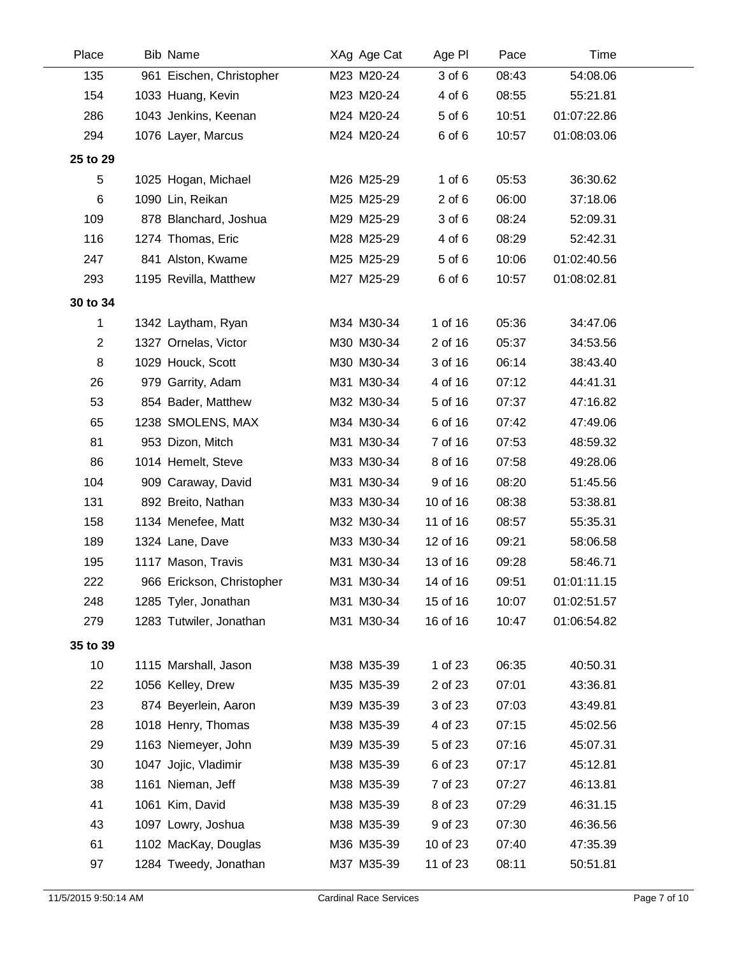| M23 M20-24<br>08:43<br>135<br>961 Eischen, Christopher<br>3 of 6<br>154<br>1033 Huang, Kevin<br>M23 M20-24<br>4 of 6<br>08:55<br>1043 Jenkins, Keenan | 54:08.06<br>55:21.81<br>01:07:22.86<br>01:08:03.06 |  |
|-------------------------------------------------------------------------------------------------------------------------------------------------------|----------------------------------------------------|--|
|                                                                                                                                                       |                                                    |  |
|                                                                                                                                                       |                                                    |  |
| 286<br>M24 M20-24<br>5 of 6<br>10:51                                                                                                                  |                                                    |  |
| 6 of 6<br>294<br>M24 M20-24<br>10:57<br>1076 Layer, Marcus                                                                                            |                                                    |  |
| 25 to 29                                                                                                                                              |                                                    |  |
| $1$ of $6$<br>5<br>M26 M25-29<br>05:53<br>1025 Hogan, Michael                                                                                         | 36:30.62                                           |  |
| M25 M25-29<br>6<br>1090 Lin, Reikan<br>$2$ of $6$<br>06:00                                                                                            | 37:18.06                                           |  |
| 109<br>878 Blanchard, Joshua<br>M29 M25-29<br>3 of 6<br>08:24                                                                                         | 52:09.31                                           |  |
| 116<br>1274 Thomas, Eric<br>M28 M25-29<br>4 of 6<br>08:29                                                                                             | 52:42.31                                           |  |
| 5 of 6<br>247<br>M25 M25-29<br>10:06<br>841 Alston, Kwame                                                                                             | 01:02:40.56                                        |  |
| 293<br>1195 Revilla, Matthew<br>M27 M25-29<br>6 of 6<br>10:57                                                                                         | 01:08:02.81                                        |  |
| 30 to 34                                                                                                                                              |                                                    |  |
| 1 of 16<br>1<br>1342 Laytham, Ryan<br>M34 M30-34<br>05:36                                                                                             | 34:47.06                                           |  |
| $\overline{2}$<br>1327 Ornelas, Victor<br>M30 M30-34<br>2 of 16<br>05:37                                                                              | 34:53.56                                           |  |
| 8<br>1029 Houck, Scott<br>M30 M30-34<br>3 of 16<br>06:14                                                                                              | 38:43.40                                           |  |
| 26<br>M31 M30-34<br>4 of 16<br>07:12<br>979 Garrity, Adam                                                                                             | 44:41.31                                           |  |
| 53<br>854 Bader, Matthew<br>M32 M30-34<br>5 of 16<br>07:37                                                                                            | 47:16.82                                           |  |
| 1238 SMOLENS, MAX<br>65<br>M34 M30-34<br>6 of 16<br>07:42                                                                                             | 47:49.06                                           |  |
| 81<br>7 of 16<br>953 Dizon, Mitch<br>M31 M30-34<br>07:53                                                                                              | 48:59.32                                           |  |
| M33 M30-34<br>86<br>1014 Hemelt, Steve<br>8 of 16<br>07:58                                                                                            | 49:28.06                                           |  |
| 104<br>909 Caraway, David<br>M31 M30-34<br>9 of 16<br>08:20                                                                                           | 51:45.56                                           |  |
| 131<br>892 Breito, Nathan<br>M33 M30-34<br>10 of 16<br>08:38                                                                                          | 53:38.81                                           |  |
| 158<br>1134 Menefee, Matt<br>M32 M30-34<br>11 of 16<br>08:57                                                                                          | 55:35.31                                           |  |
| 189<br>1324 Lane, Dave<br>M33 M30-34<br>12 of 16<br>09:21                                                                                             | 58:06.58                                           |  |
| 195<br>1117 Mason, Travis<br>M31 M30-34<br>13 of 16<br>09:28                                                                                          | 58:46.71                                           |  |
| 222<br>966 Erickson, Christopher<br>M31 M30-34<br>09:51<br>14 of 16                                                                                   | 01:01:11.15                                        |  |
| 248<br>1285 Tyler, Jonathan<br>M31 M30-34<br>15 of 16<br>10:07                                                                                        | 01:02:51.57                                        |  |
| M31 M30-34<br>279<br>1283 Tutwiler, Jonathan<br>16 of 16<br>10:47                                                                                     | 01:06:54.82                                        |  |
| 35 to 39                                                                                                                                              |                                                    |  |
| 10<br>1 of 23<br>M38 M35-39<br>06:35<br>1115 Marshall, Jason                                                                                          | 40:50.31                                           |  |
| 22<br>1056 Kelley, Drew<br>M35 M35-39<br>2 of 23<br>07:01                                                                                             | 43:36.81                                           |  |
| 23<br>874 Beyerlein, Aaron<br>M39 M35-39<br>3 of 23<br>07:03                                                                                          | 43:49.81                                           |  |
| 28<br>1018 Henry, Thomas<br>M38 M35-39<br>4 of 23<br>07:15                                                                                            | 45:02.56                                           |  |
| 29<br>1163 Niemeyer, John<br>M39 M35-39<br>5 of 23<br>07:16                                                                                           | 45:07.31                                           |  |
| 30<br>1047 Jojic, Vladimir<br>M38 M35-39<br>6 of 23<br>07:17                                                                                          | 45:12.81                                           |  |
| 38<br>1161 Nieman, Jeff<br>M38 M35-39<br>7 of 23<br>07:27                                                                                             | 46:13.81                                           |  |
| 41<br>1061 Kim, David<br>M38 M35-39<br>8 of 23<br>07:29                                                                                               | 46:31.15                                           |  |
| 43<br>1097 Lowry, Joshua<br>M38 M35-39<br>9 of 23<br>07:30                                                                                            | 46:36.56                                           |  |
| 61<br>1102 MacKay, Douglas<br>M36 M35-39<br>10 of 23<br>07:40                                                                                         | 47:35.39                                           |  |
| M37 M35-39<br>97<br>1284 Tweedy, Jonathan<br>11 of 23<br>08:11                                                                                        | 50:51.81                                           |  |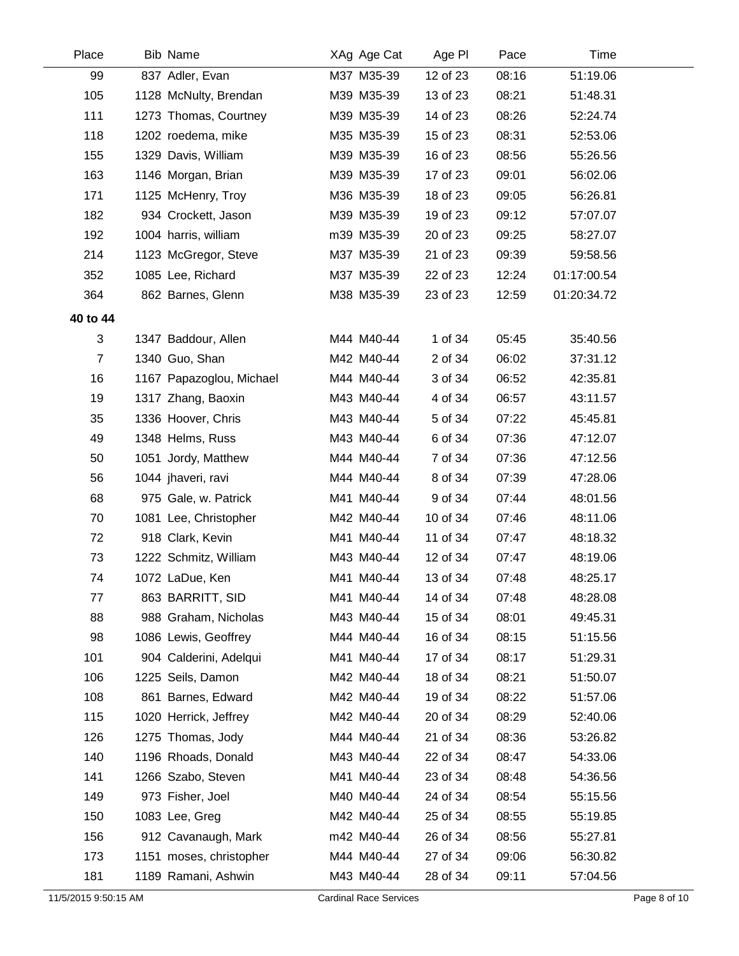| Place          | <b>Bib Name</b>          | XAg Age Cat | Age PI   | Pace  | <b>Time</b> |  |
|----------------|--------------------------|-------------|----------|-------|-------------|--|
| 99             | 837 Adler, Evan          | M37 M35-39  | 12 of 23 | 08:16 | 51:19.06    |  |
| 105            | 1128 McNulty, Brendan    | M39 M35-39  | 13 of 23 | 08:21 | 51:48.31    |  |
| 111            | 1273 Thomas, Courtney    | M39 M35-39  | 14 of 23 | 08:26 | 52:24.74    |  |
| 118            | 1202 roedema, mike       | M35 M35-39  | 15 of 23 | 08:31 | 52:53.06    |  |
| 155            | 1329 Davis, William      | M39 M35-39  | 16 of 23 | 08:56 | 55:26.56    |  |
| 163            | 1146 Morgan, Brian       | M39 M35-39  | 17 of 23 | 09:01 | 56:02.06    |  |
| 171            | 1125 McHenry, Troy       | M36 M35-39  | 18 of 23 | 09:05 | 56:26.81    |  |
| 182            | 934 Crockett, Jason      | M39 M35-39  | 19 of 23 | 09:12 | 57:07.07    |  |
| 192            | 1004 harris, william     | m39 M35-39  | 20 of 23 | 09:25 | 58:27.07    |  |
| 214            | 1123 McGregor, Steve     | M37 M35-39  | 21 of 23 | 09:39 | 59:58.56    |  |
| 352            | 1085 Lee, Richard        | M37 M35-39  | 22 of 23 | 12:24 | 01:17:00.54 |  |
| 364            | 862 Barnes, Glenn        | M38 M35-39  | 23 of 23 | 12:59 | 01:20:34.72 |  |
| 40 to 44       |                          |             |          |       |             |  |
| 3              | 1347 Baddour, Allen      | M44 M40-44  | 1 of 34  | 05:45 | 35:40.56    |  |
| $\overline{7}$ | 1340 Guo, Shan           | M42 M40-44  | 2 of 34  | 06:02 | 37:31.12    |  |
| 16             | 1167 Papazoglou, Michael | M44 M40-44  | 3 of 34  | 06:52 | 42:35.81    |  |
| 19             | 1317 Zhang, Baoxin       | M43 M40-44  | 4 of 34  | 06:57 | 43:11.57    |  |
| 35             | 1336 Hoover, Chris       | M43 M40-44  | 5 of 34  | 07:22 | 45:45.81    |  |
| 49             | 1348 Helms, Russ         | M43 M40-44  | 6 of 34  | 07:36 | 47:12.07    |  |
| 50             | 1051 Jordy, Matthew      | M44 M40-44  | 7 of 34  | 07:36 | 47:12.56    |  |
| 56             | 1044 jhaveri, ravi       | M44 M40-44  | 8 of 34  | 07:39 | 47:28.06    |  |
| 68             | 975 Gale, w. Patrick     | M41 M40-44  | 9 of 34  | 07:44 | 48:01.56    |  |
| 70             | 1081 Lee, Christopher    | M42 M40-44  | 10 of 34 | 07:46 | 48:11.06    |  |
| 72             | 918 Clark, Kevin         | M41 M40-44  | 11 of 34 | 07:47 | 48:18.32    |  |
| 73             | 1222 Schmitz, William    | M43 M40-44  | 12 of 34 | 07:47 | 48:19.06    |  |
| 74             | 1072 LaDue, Ken          | M41 M40-44  | 13 of 34 | 07:48 | 48:25.17    |  |
| 77             | 863 BARRITT, SID         | M41 M40-44  | 14 of 34 | 07:48 | 48:28.08    |  |
| 88             | 988 Graham, Nicholas     | M43 M40-44  | 15 of 34 | 08:01 | 49:45.31    |  |
| 98             | 1086 Lewis, Geoffrey     | M44 M40-44  | 16 of 34 | 08:15 | 51:15.56    |  |
| 101            | 904 Calderini, Adelqui   | M41 M40-44  | 17 of 34 | 08:17 | 51:29.31    |  |
| 106            | 1225 Seils, Damon        | M42 M40-44  | 18 of 34 | 08:21 | 51:50.07    |  |
| 108            | 861 Barnes, Edward       | M42 M40-44  | 19 of 34 | 08:22 | 51:57.06    |  |
| 115            | 1020 Herrick, Jeffrey    | M42 M40-44  | 20 of 34 | 08:29 | 52:40.06    |  |
| 126            | 1275 Thomas, Jody        | M44 M40-44  | 21 of 34 | 08:36 | 53:26.82    |  |
| 140            | 1196 Rhoads, Donald      | M43 M40-44  | 22 of 34 | 08:47 | 54:33.06    |  |
| 141            | 1266 Szabo, Steven       | M41 M40-44  | 23 of 34 | 08:48 | 54:36.56    |  |
| 149            | 973 Fisher, Joel         | M40 M40-44  | 24 of 34 | 08:54 | 55:15.56    |  |
| 150            | 1083 Lee, Greg           | M42 M40-44  | 25 of 34 | 08:55 | 55:19.85    |  |
| 156            | 912 Cavanaugh, Mark      | m42 M40-44  | 26 of 34 | 08:56 | 55:27.81    |  |
| 173            | 1151 moses, christopher  | M44 M40-44  | 27 of 34 | 09:06 | 56:30.82    |  |
| 181            | 1189 Ramani, Ashwin      | M43 M40-44  | 28 of 34 | 09:11 | 57:04.56    |  |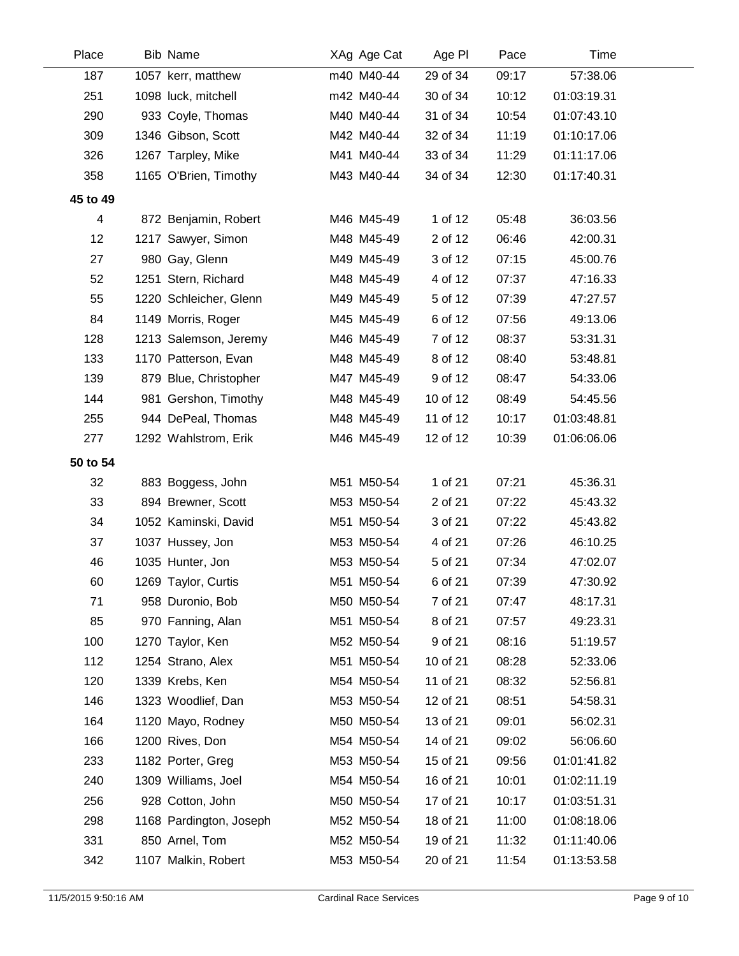| Place    | <b>Bib Name</b>         | XAg Age Cat | Age PI   | Pace  | Time        |  |
|----------|-------------------------|-------------|----------|-------|-------------|--|
| 187      | 1057 kerr, matthew      | m40 M40-44  | 29 of 34 | 09:17 | 57:38.06    |  |
| 251      | 1098 luck, mitchell     | m42 M40-44  | 30 of 34 | 10:12 | 01:03:19.31 |  |
| 290      | 933 Coyle, Thomas       | M40 M40-44  | 31 of 34 | 10:54 | 01:07:43.10 |  |
| 309      | 1346 Gibson, Scott      | M42 M40-44  | 32 of 34 | 11:19 | 01:10:17.06 |  |
| 326      | 1267 Tarpley, Mike      | M41 M40-44  | 33 of 34 | 11:29 | 01:11:17.06 |  |
| 358      | 1165 O'Brien, Timothy   | M43 M40-44  | 34 of 34 | 12:30 | 01:17:40.31 |  |
| 45 to 49 |                         |             |          |       |             |  |
| 4        | 872 Benjamin, Robert    | M46 M45-49  | 1 of 12  | 05:48 | 36:03.56    |  |
| 12       | 1217 Sawyer, Simon      | M48 M45-49  | 2 of 12  | 06:46 | 42:00.31    |  |
| 27       | 980 Gay, Glenn          | M49 M45-49  | 3 of 12  | 07:15 | 45:00.76    |  |
| 52       | 1251 Stern, Richard     | M48 M45-49  | 4 of 12  | 07:37 | 47:16.33    |  |
| 55       | 1220 Schleicher, Glenn  | M49 M45-49  | 5 of 12  | 07:39 | 47:27.57    |  |
| 84       | 1149 Morris, Roger      | M45 M45-49  | 6 of 12  | 07:56 | 49:13.06    |  |
| 128      | 1213 Salemson, Jeremy   | M46 M45-49  | 7 of 12  | 08:37 | 53:31.31    |  |
| 133      | 1170 Patterson, Evan    | M48 M45-49  | 8 of 12  | 08:40 | 53:48.81    |  |
| 139      | 879 Blue, Christopher   | M47 M45-49  | 9 of 12  | 08:47 | 54:33.06    |  |
| 144      | 981 Gershon, Timothy    | M48 M45-49  | 10 of 12 | 08:49 | 54:45.56    |  |
| 255      | 944 DePeal, Thomas      | M48 M45-49  | 11 of 12 | 10:17 | 01:03:48.81 |  |
| 277      | 1292 Wahlstrom, Erik    | M46 M45-49  | 12 of 12 | 10:39 | 01:06:06.06 |  |
| 50 to 54 |                         |             |          |       |             |  |
| 32       | 883 Boggess, John       | M51 M50-54  | 1 of 21  | 07:21 | 45:36.31    |  |
| 33       | 894 Brewner, Scott      | M53 M50-54  | 2 of 21  | 07:22 | 45:43.32    |  |
| 34       | 1052 Kaminski, David    | M51 M50-54  | 3 of 21  | 07:22 | 45:43.82    |  |
| 37       | 1037 Hussey, Jon        | M53 M50-54  | 4 of 21  | 07:26 | 46:10.25    |  |
| 46       | 1035 Hunter, Jon        | M53 M50-54  | 5 of 21  | 07:34 | 47:02.07    |  |
| 60       | 1269 Taylor, Curtis     | M51 M50-54  | 6 of 21  | 07:39 | 47:30.92    |  |
| 71       | 958 Duronio, Bob        | M50 M50-54  | 7 of 21  | 07:47 | 48:17.31    |  |
| 85       | 970 Fanning, Alan       | M51 M50-54  | 8 of 21  | 07:57 | 49:23.31    |  |
| 100      | 1270 Taylor, Ken        | M52 M50-54  | 9 of 21  | 08:16 | 51:19.57    |  |
| 112      | 1254 Strano, Alex       | M51 M50-54  | 10 of 21 | 08:28 | 52:33.06    |  |
| 120      | 1339 Krebs, Ken         | M54 M50-54  | 11 of 21 | 08:32 | 52:56.81    |  |
| 146      | 1323 Woodlief, Dan      | M53 M50-54  | 12 of 21 | 08:51 | 54:58.31    |  |
| 164      | 1120 Mayo, Rodney       | M50 M50-54  | 13 of 21 | 09:01 | 56:02.31    |  |
| 166      | 1200 Rives, Don         | M54 M50-54  | 14 of 21 | 09:02 | 56:06.60    |  |
| 233      | 1182 Porter, Greg       | M53 M50-54  | 15 of 21 | 09:56 | 01:01:41.82 |  |
| 240      | 1309 Williams, Joel     | M54 M50-54  | 16 of 21 | 10:01 | 01:02:11.19 |  |
| 256      | 928 Cotton, John        | M50 M50-54  | 17 of 21 | 10:17 | 01:03:51.31 |  |
| 298      | 1168 Pardington, Joseph | M52 M50-54  | 18 of 21 | 11:00 | 01:08:18.06 |  |
| 331      | 850 Arnel, Tom          | M52 M50-54  | 19 of 21 | 11:32 | 01:11:40.06 |  |
| 342      | 1107 Malkin, Robert     | M53 M50-54  | 20 of 21 | 11:54 | 01:13:53.58 |  |